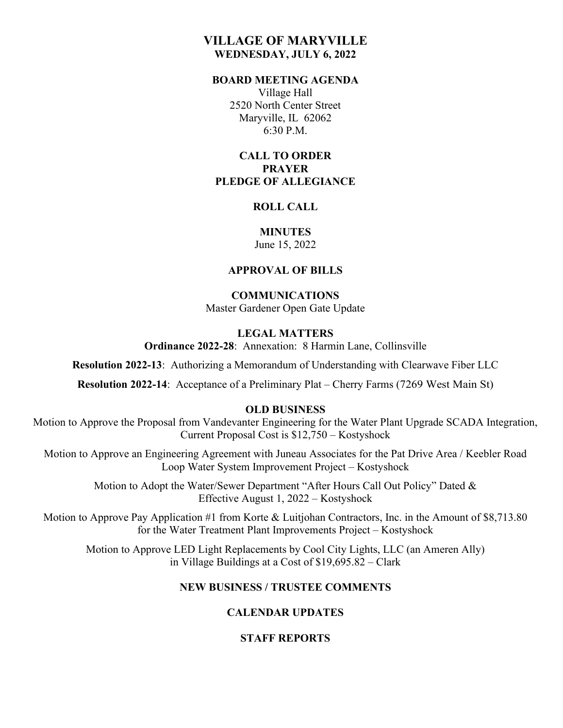# **VILLAGE OF MARYVILLE WEDNESDAY, JULY 6, 2022**

#### **BOARD MEETING AGENDA**

Village Hall 2520 North Center Street Maryville, IL 62062 6:30 P.M.

## **CALL TO ORDER PRAYER PLEDGE OF ALLEGIANCE**

#### **ROLL CALL**

#### **MINUTES** June 15, 2022

#### **APPROVAL OF BILLS**

# **COMMUNICATIONS**

Master Gardener Open Gate Update

# **LEGAL MATTERS**

**Ordinance 2022-28**: Annexation: 8 Harmin Lane, Collinsville

**Resolution 2022-13**: Authorizing a Memorandum of Understanding with Clearwave Fiber LLC

**Resolution 2022-14**: Acceptance of a Preliminary Plat – Cherry Farms (7269 West Main St)

## **OLD BUSINESS**

Motion to Approve the Proposal from Vandevanter Engineering for the Water Plant Upgrade SCADA Integration, Current Proposal Cost is \$12,750 – Kostyshock

Motion to Approve an Engineering Agreement with Juneau Associates for the Pat Drive Area / Keebler Road Loop Water System Improvement Project – Kostyshock

> Motion to Adopt the Water/Sewer Department "After Hours Call Out Policy" Dated & Effective August 1, 2022 – Kostyshock

Motion to Approve Pay Application #1 from Korte & Luitjohan Contractors, Inc. in the Amount of \$8,713.80 for the Water Treatment Plant Improvements Project – Kostyshock

Motion to Approve LED Light Replacements by Cool City Lights, LLC (an Ameren Ally) in Village Buildings at a Cost of \$19,695.82 – Clark

## **NEW BUSINESS / TRUSTEE COMMENTS**

## **CALENDAR UPDATES**

## **STAFF REPORTS**